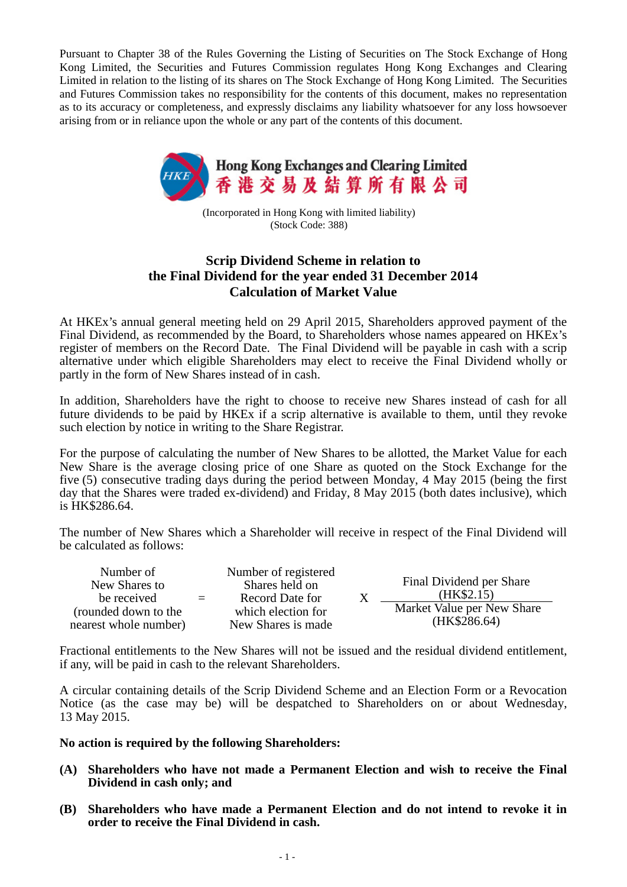Pursuant to Chapter 38 of the Rules Governing the Listing of Securities on The Stock Exchange of Hong Kong Limited, the Securities and Futures Commission regulates Hong Kong Exchanges and Clearing Limited in relation to the listing of its shares on The Stock Exchange of Hong Kong Limited. The Securities and Futures Commission takes no responsibility for the contents of this document, makes no representation as to its accuracy or completeness, and expressly disclaims any liability whatsoever for any loss howsoever arising from or in reliance upon the whole or any part of the contents of this document.



(Incorporated in Hong Kong with limited liability) (Stock Code: 388)

## **Scrip Dividend Scheme in relation to the Final Dividend for the year ended 31 December 2014 Calculation of Market Value**

At HKEx's annual general meeting held on 29 April 2015, Shareholders approved payment of the Final Dividend, as recommended by the Board, to Shareholders whose names appeared on HKEx's register of members on the Record Date. The Final Dividend will be payable in cash with a scrip alternative under which eligible Shareholders may elect to receive the Final Dividend wholly or partly in the form of New Shares instead of in cash.

In addition, Shareholders have the right to choose to receive new Shares instead of cash for all future dividends to be paid by HKEx if a scrip alternative is available to them, until they revoke such election by notice in writing to the Share Registrar.

For the purpose of calculating the number of New Shares to be allotted, the Market Value for each New Share is the average closing price of one Share as quoted on the Stock Exchange for the five (5) consecutive trading days during the period between Monday, 4 May 2015 (being the first day that the Shares were traded ex-dividend) and Friday, 8 May 2015 (both dates inclusive), which is HK\$286.64.

The number of New Shares which a Shareholder will receive in respect of the Final Dividend will be calculated as follows:

| Number of<br>New Shares to<br>be received     | $=$ | Number of registered<br>Shares held on<br>Record Date for | Final Dividend per Share<br>(HK\$2.15)     |
|-----------------------------------------------|-----|-----------------------------------------------------------|--------------------------------------------|
| (rounded down to the<br>nearest whole number) |     | which election for<br>New Shares is made                  | Market Value per New Share<br>(HK\$286.64) |

Fractional entitlements to the New Shares will not be issued and the residual dividend entitlement, if any, will be paid in cash to the relevant Shareholders.

A circular containing details of the Scrip Dividend Scheme and an Election Form or a Revocation Notice (as the case may be) will be despatched to Shareholders on or about Wednesday, 13 May 2015.

**No action is required by the following Shareholders:**

- **(A) Shareholders who have not made a Permanent Election and wish to receive the Final Dividend in cash only; and**
- **(B) Shareholders who have made a Permanent Election and do not intend to revoke it in order to receive the Final Dividend in cash.**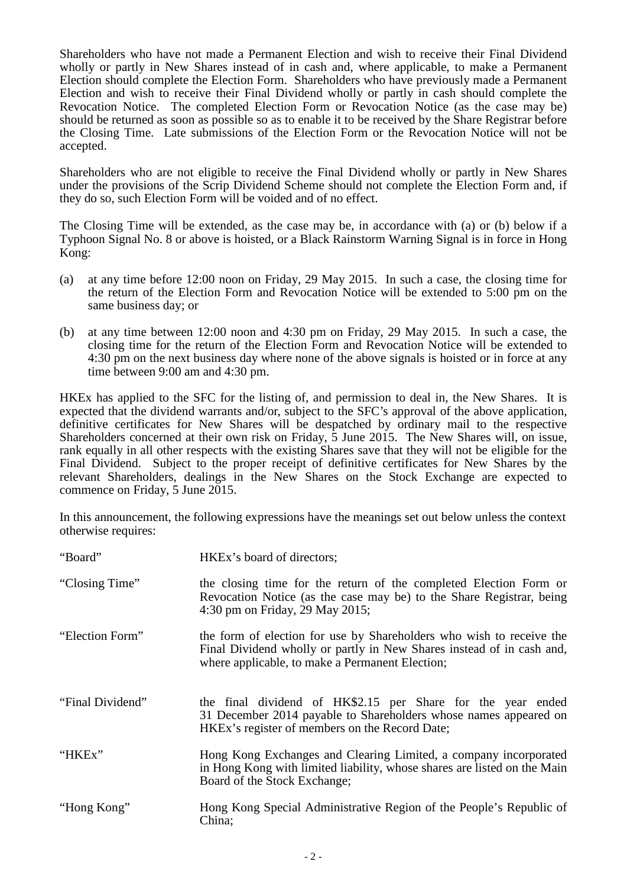Shareholders who have not made a Permanent Election and wish to receive their Final Dividend wholly or partly in New Shares instead of in cash and, where applicable, to make a Permanent Election should complete the Election Form. Shareholders who have previously made a Permanent Election and wish to receive their Final Dividend wholly or partly in cash should complete the Revocation Notice. The completed Election Form or Revocation Notice (as the case may be) should be returned as soon as possible so as to enable it to be received by the Share Registrar before the Closing Time. Late submissions of the Election Form or the Revocation Notice will not be accepted.

Shareholders who are not eligible to receive the Final Dividend wholly or partly in New Shares under the provisions of the Scrip Dividend Scheme should not complete the Election Form and, if they do so, such Election Form will be voided and of no effect.

The Closing Time will be extended, as the case may be, in accordance with (a) or (b) below if a Typhoon Signal No. 8 or above is hoisted, or a Black Rainstorm Warning Signal is in force in Hong Kong:

- (a) at any time before 12:00 noon on Friday, 29 May 2015. In such a case, the closing time for the return of the Election Form and Revocation Notice will be extended to 5:00 pm on the same business day; or
- (b) at any time between 12:00 noon and 4:30 pm on Friday, 29 May 2015. In such a case, the closing time for the return of the Election Form and Revocation Notice will be extended to 4:30 pm on the next business day where none of the above signals is hoisted or in force at any time between 9:00 am and 4:30 pm.

HKEx has applied to the SFC for the listing of, and permission to deal in, the New Shares. It is expected that the dividend warrants and/or, subject to the SFC's approval of the above application, definitive certificates for New Shares will be despatched by ordinary mail to the respective Shareholders concerned at their own risk on Friday, 5 June 2015. The New Shares will, on issue, rank equally in all other respects with the existing Shares save that they will not be eligible for the Final Dividend. Subject to the proper receipt of definitive certificates for New Shares by the relevant Shareholders, dealings in the New Shares on the Stock Exchange are expected to commence on Friday, 5 June 2015.

In this announcement, the following expressions have the meanings set out below unless the context otherwise requires:

| "Board"          | HKEx's board of directors;                                                                                                                                                                       |
|------------------|--------------------------------------------------------------------------------------------------------------------------------------------------------------------------------------------------|
| "Closing Time"   | the closing time for the return of the completed Election Form or<br>Revocation Notice (as the case may be) to the Share Registrar, being<br>4:30 pm on Friday, 29 May 2015;                     |
| "Election Form"  | the form of election for use by Shareholders who wish to receive the<br>Final Dividend wholly or partly in New Shares instead of in cash and,<br>where applicable, to make a Permanent Election; |
| "Final Dividend" | the final dividend of HK\$2.15 per Share for the year ended<br>31 December 2014 payable to Shareholders whose names appeared on<br>HKEx's register of members on the Record Date;                |
| "HKEx"           | Hong Kong Exchanges and Clearing Limited, a company incorporated<br>in Hong Kong with limited liability, whose shares are listed on the Main<br>Board of the Stock Exchange;                     |
| "Hong Kong"      | Hong Kong Special Administrative Region of the People's Republic of<br>China;                                                                                                                    |